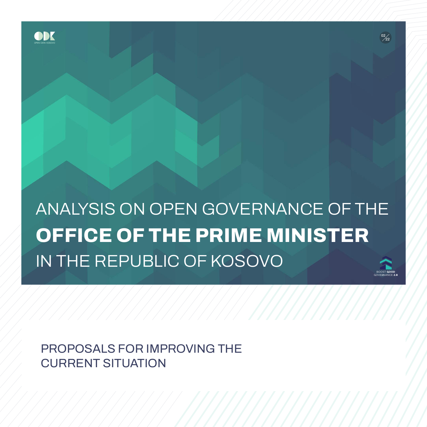

**ANALYSIS ON OPEN GOVERNANCE OF THE OFFICE OF THE PRIME MINISTER IN THE REPUBLIC OF KOSOVO**  BOOST **GOOD**

**02 22**

**02 22**

GOVERNANCE 2.0

**PROPOSALS FOR IMPROVING THE CURRENT SITUATION**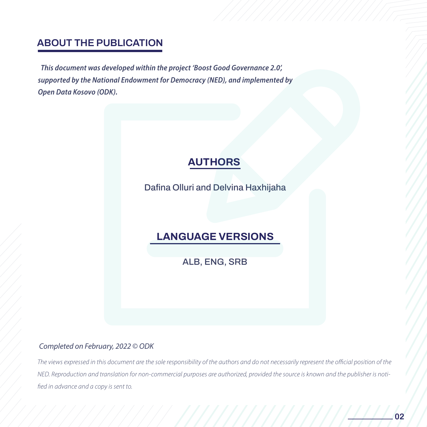## **ABOUT THE PUBLICATION**

This document was developed within the project 'Boost Good Governance 2.0', supported by the National Endowment for Democracy (NED), and implemented by **Open Data Kosovo (ODK).** 

# **AUTHORS**

**Dafina Olluri and Delvina Haxhijaha** 

## SË KUVENDIT NË KUVENDIT NË KUVENDIT NË KUVENDIT NË KUVENDIT NË KUVENDIT NË KUVENDIT NË KUVENDIT NË KUVENDIT NË<br>SERIES E SERIES E SERIES E SERIES E SERIES E SERIES E SERIES E SERIES E SERIES E SERIES E SERIES E SERIES E SE **LANGUAGE VERSIONS**

**ALB, ENG, SRB**

#### Completed on February, 2022 © ODK

The views expressed in this document are the sole responsibility of the authors and do not necessarily represent the official position of the NED. Reproduction and translation for non-commercial purposes are authorized, provided the source is known and the publisher is notified in advance and a copy is sent to.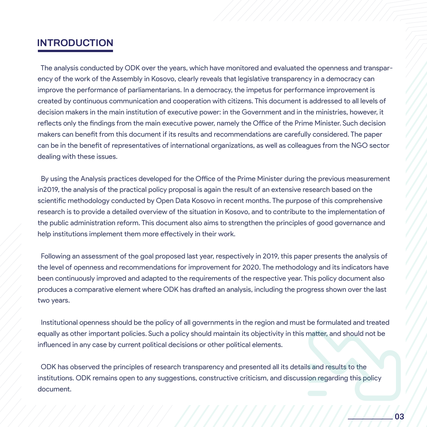#### **INTRODUCTION**

 The analysis conducted by ODK over the years, which have monitored and evaluated the openness and transparency of the work of the Assembly in Kosovo, clearly reveals that legislative transparency in a democracy can improve the performance of parliamentarians. In a democracy, the impetus for performance improvement is created by continuous communication and cooperation with citizens. This document is addressed to all levels of decision makers in the main institution of executive power: in the Government and in the ministries, however, it reflects only the findings from the main executive power, namely the Office of the Prime Minister. Such decision makers can benefit from this document if its results and recommendations are carefully considered. The paper can be in the benefit of representatives of international organizations, as well as colleagues from the NGO sector dealing with these issues.

scientific methodology conducted by Open Data Kosovo in recent months. The purpose of this comprehensive<br>
seconds in the provide a detailed evention of the situation in Keesye, and the contribute to the implementation of the public administration reform. This document also aims to strengthen the principles of good governance and<br>help institutions implement them more effectively in their work. By using the Analysis practices developed for the Office of the Prime Minister during the previous measurement in2019, the analysis of the practical policy proposal is again the result of an extensive research based on the research is to provide a detailed overview of the situation in Kosovo, and to contribute to the implementation of help institutions implement them more effectively in their work.

Following an assessment of the go Following an assessment of the goal proposed last year, respectively in 2019, this paper presents the analysis of the level of openness and recommendations for improvement for 2020. The methodology and its indicators have been continuously improved and adapted to the requirements of the respective year. This policy document also produces a comparative element where ODK has drafted an analysis, including the progress shown over the last two years.

utional openness should be th<br>y as other important policies. <mark>\</mark> Institutional openness should be the policy of all governments in the region and must be formulated and treated equally as other important policies. Such a policy should maintain its objectivity in this matter, and should not be influenced in any case by current political decisions or other political elements.

 ODK has observed the principles of research transparency and presented all its details and results to the institutions. ODK remains open to any suggestions, constructive criticism, and discussion regarding this policy document.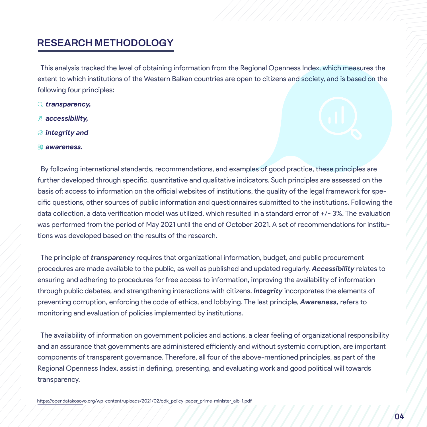#### **RESEARCH METHODOLOGY**

 This analysis tracked the level of obtaining information from the Regional Openness Index, which measures the extent to which institutions of the Western Balkan countries are open to citizens and society, and is based on the following four principles:

- *transparency,*
- *accessibility,*
- *integrity and*
- *awareness.*

cific questions, other sources of public information was performed from the period of May 2021 until<br>tions was developed based on the results of the re By following international standards, recommendations, and examples of good practice, these principles are further developed through specific, quantitative and qualitative indicators. Such principles are assessed on the basis of: access to information on the official websites of institutions, the quality of the legal framework for specific questions, other sources of public information and questionnaires submitted to the institutions. Following the data collection, a data verification model was utilized, which resulted in a standard error of +/- 3%. The evaluation was performed from the period of May 2021 until the end of October 2021. A set of recommendations for institutions was developed based on the results of the research.

The principle of *transparency* req The principle of *transparency* requires that organizational information, budget, and public procurement procedures are made available to the public, as well as published and updated regularly. *Accessibility* relates to ensuring and adhering to procedures for free access to information, improving the availability of information through public debates, and strengthening interactions with citizens. *Integrity* incorporates the elements of preventing corruption, enforcing the code of ethics, and lobbying. The last principle, *Awareness,* refers to monitoring and evaluation of policies implemented by institutions.

The availability of information on government policies and actions, a clear feeling of organizational responsibility and an assurance that governments are administered efficiently and without systemic corruption, are important components of transparent governance. Therefore, all four of the above-mentioned principles, as part of the Regional Openness Index, assist in defining, presenting, and evaluating work and good political will towards transparency.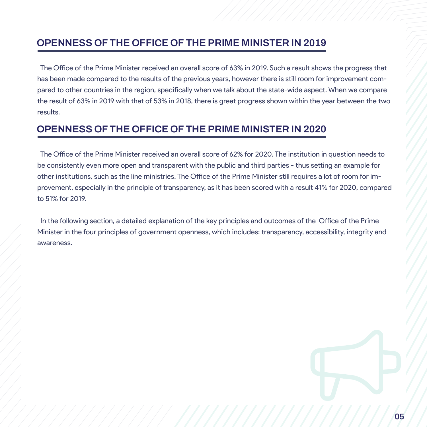#### **OPENNESS OF THE OFFICE OF THE PRIME MINISTER IN 2019**

 The Office of the Prime Minister received an overall score of 63% in 2019. Such a result shows the progress that has been made compared to the results of the previous years, however there is still room for improvement compared to other countries in the region, specifically when we talk about the state-wide aspect. When we compare the result of 63% in 2019 with that of 53% in 2018, there is great progress shown within the year between the two results.

### **OPENNESS OF THE OFFICE OF THE PRIME MINISTER IN 2020**

to 51% for 2019. The Office of the Prime Minister received an overall score of 62% for 2020. The institution in question needs to be consistently even more open and transparent with the public and third parties - thus setting an example for other institutions, such as the line ministries. The Office of the Prime Minister still requires a lot of room for improvement, especially in the principle of transparency, as it has been scored with a result 41% for 2020, compared

In the following section, a detailed explanation of the key principles and outcomes of the Office of the Prime<br>Minister in the four principles of government openness, which includes: transparency, accessibility, integrity awareness. In the following section, a detailed explanation of the key principles and outcomes of the Office of the Prime awareness.

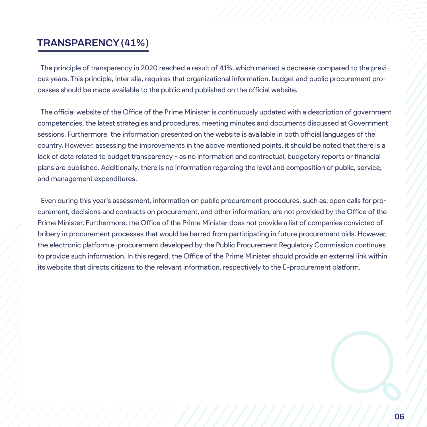#### **TRANSPARENCY (41%)**

 The principle of transparency in 2020 reached a result of 41%, which marked a decrease compared to the previous years. This principle, inter alia, requires that organizational information, budget and public procurement processes should be made available to the public and published on the official website.

 The official website of the Office of the Prime Minister is continuously updated with a description of government competencies, the latest strategies and procedures, meeting minutes and documents discussed at Government sessions. Furthermore, the information presented on the website is available in both official languages of the country. However, assessing the improvements in the above mentioned points, it should be noted that there is a lack of data related to budget transparency - as no information and contractual, budgetary reports or financial plans are published. Additionally, there is no information regarding the level and composition of public, service, and management expenditures.

Even during this year's assessment, information on public procurement procedures, such as: open calls for pro-<br>aurament, decisions and contracts an procurement, and other information, are not provided by the Office of the Prime Minister. Furthermore, the Office of the Prime Minister does not provide a list of companies convicted of<br>bribery in procurement processes that would be barred from participating in future procurement bids. However the electronic platform e-procurem<br>to provide such information. In this<br>its website that directs eitizens to the curement, decisions and contracts on procurement, and other information, are not provided by the Office of the bribery in procurement processes that would be barred from participating in future procurement bids. However, the electronic platform e-procurement developed by the Public Procurement Regulatory Commission continues to provide such information. In this regard, the Office of the Prime Minister should provide an external link within its website that directs citizens to the relevant information, respectively to the E-procurement platform.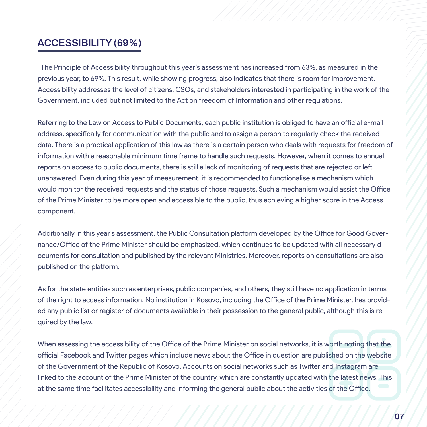#### ACCESSIBILITY (69%)

 The Principle of Accessibility throughout this year's assessment has increased from 63%, as measured in the previous year, to 69%. This result, while showing progress, also indicates that there is room for improvement. Accessibility addresses the level of citizens, CSOs, and stakeholders interested in participating in the work of the Government, included but not limited to the Act on freedom of Information and other regulations.

of the Prime Minister to be more open and accessible to the public, thus achieving a higher score in the Access<br>companent Referring to the Law on Access to Public Documents, each public institution is obliged to have an official e-mail address, specifically for communication with the public and to assign a person to regularly check the received data. There is a practical application of this law as there is a certain person who deals with requests for freedom of information with a reasonable minimum time frame to handle such requests. However, when it comes to annual reports on access to public documents, there is still a lack of monitoring of requests that are rejected or left unanswered. Even during this year of measurement, it is recommended to functionalise a mechanism which would monitor the received requests and the status of those requests. Such a mechanism would assist the Office component.

Additionally in this year's assessment, the Public Consultation platform developed by the Office for Good Gover-<br> nance/Office of the Prime Minister<br>ocuments for consultation and pub<br>published on the platform nance/Office of the Prime Minister should be emphasized, which continues to be updated with all necessary d ocuments for consultation and published by the relevant Ministries. Moreover, reports on consultations are also published on the platform.

quired by the law.<br>
<u>Equired</u> by the law. As for the state entities such as enterprises, public companies, and others, they still have no application in terms of the right to access information. No institution in Kosovo, including the Office of the Prime Minister, has provided any public list or register of documents available in their possession to the general public, although this is re-

When assessing the accessibility of the Office of the Prime Minister on social networks, it is worth noting that the official Facebook and Twitter pages which include news about the Office in question are published on the website of the Government of the Republic of Kosovo. Accounts on social networks such as Twitter and Instagram are linked to the account of the Prime Minister of the country, which are constantly updated with the latest news. This at the same time facilitates accessibility and informing the general public about the activities of the Office.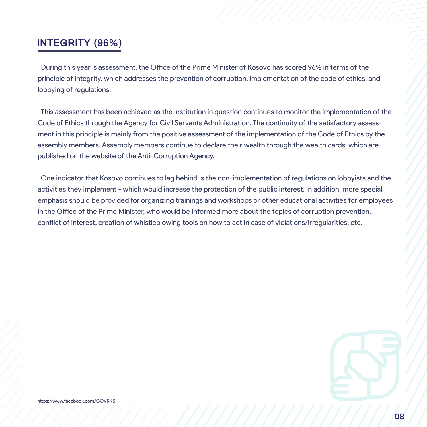### **INTEGRITY (96%)**

 During this year`s assessment, the Office of the Prime Minister of Kosovo has scored 96% in terms of the principle of Integrity, which addresses the prevention of corruption, implementation of the code of ethics, and lobbying of regulations.

 This assessment has been achieved as the Institution in question continues to monitor the implementation of the Code of Ethics through the Agency for Civil Servants Administration. The continuity of the satisfactory assessment in this principle is mainly from the positive assessment of the implementation of the Code of Ethics by the assembly members. Assembly members continue to declare their wealth through the wealth cards, which are published on the website of the Anti-Corruption Agency.

emphasis should be provided for organizing trainings and workshops or other educational activities for employees<br>in the Office of the Prime Minister who would be informed more about the tenies of corruption provention conflict of interest, creation of whistleblowing tools on how to act in case of violations/irregularities, etc.<br>
<sub>conflict</sub> of interest, creation of whistleblowing tools on how to act in case of violations/irregularities, One indicator that Kosovo continues to lag behind is the non-implementation of regulations on lobbyists and the activities they implement - which would increase the protection of the public interest. In addition, more special in the Office of the Prime Minister, who would be informed more about the topics of corruption prevention,

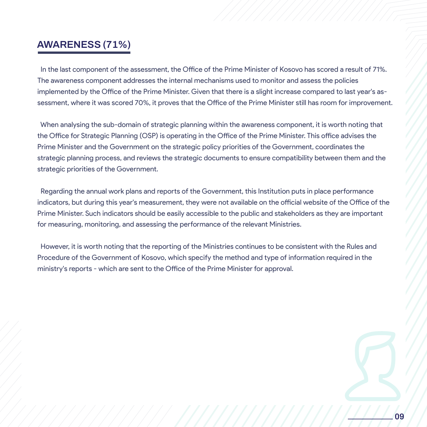## **AWARENESS (71%)**

 In the last component of the assessment, the Office of the Prime Minister of Kosovo has scored a result of 71%. The awareness component addresses the internal mechanisms used to monitor and assess the policies implemented by the Office of the Prime Minister. Given that there is a slight increase compared to last year's assessment, where it was scored 70%, it proves that the Office of the Prime Minister still has room for improvement.

 When analysing the sub-domain of strategic planning within the awareness component, it is worth noting that the Office for Strategic Planning (OSP) is operating in the Office of the Prime Minister. This office advises the Prime Minister and the Government on the strategic policy priorities of the Government, coordinates the strategic planning process, and reviews the strategic documents to ensure compatibility between them and the strategic priorities of the Government.

indicators, but during this year's measurement, the for measuring, monitoring, and assessing the perturn of the set of the set of the set of the set of the set of the set of the set of the set of the set of the set of the set of the set of the set of the set of the set of t Regarding the annual work plans and reports of the Government, this Institution puts in place performance indicators, but during this year's measurement, they were not available on the official website of the Office of the Prime Minister. Such indicators should be easily accessible to the public and stakeholders as they are important for measuring, monitoring, and assessing the performance of the relevant Ministries.

However, it is worth noting that th<br>Procedure of the Government of K However, it is worth noting that the reporting of the Ministries continues to be consistent with the Rules and Procedure of the Government of Kosovo, which specify the method and type of information required in the ministry's reports - which are sent to the Office of the Prime Minister for approval.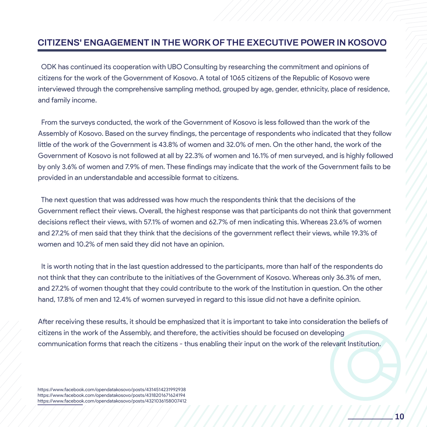#### **CITIZENS' ENGAGEMENT IN THE WORK OF THE EXECUTIVE POWER IN KOSOVO**

 ODK has continued its cooperation with UBO Consulting by researching the commitment and opinions of citizens for the work of the Government of Kosovo. A total of 1065 citizens of the Republic of Kosovo were interviewed through the comprehensive sampling method, grouped by age, gender, ethnicity, place of residence, and family income.

 From the surveys conducted, the work of the Government of Kosovo is less followed than the work of the Assembly of Kosovo. Based on the survey findings, the percentage of respondents who indicated that they follow little of the work of the Government is 43.8% of women and 32.0% of men. On the other hand, the work of the Government of Kosovo is not followed at all by 22.3% of women and 16.1% of men surveyed, and is highly followed by only 3.6% of women and 7.9% of men. These findings may indicate that the work of the Government fails to be provided in an understandable and accessible format to citizens.

The next question that was addressed was how much the respondents think that the decisions of the<br>Government reflect their views Overall, the bighest response was that participants do not think that c decisions reflect their views, with 57.1% of women and 62.7% of men indicating this. Whereas 23.6% of women and 27.2% of men said that they think that the decisions of the government reflect their views, while 19.3% of women and 10.2% of men said they did not have an opinion.<br>It is worth noting that in the last question addressed to the Government reflect their views. Overall, the highest response was that participants do not think that government decisions reflect their views, with 57.1% of women and 62.7% of men indicating this. Whereas 23.6% of women

 It is worth noting that in the last question addressed to the participants, more than half of the respondents do not think that they can contribute to the initiatives of the Government of Kosovo. Whereas only 36.3% of men, and 27.2% of women thought that they could contribute to the work of the Institution in question. On the other hand, 17.8% of men and 12.4% of women surveyed in regard to this issue did not have a definite opinion.

receiving these results, it shou<br>is in the work of the Assembly After receiving these results, it should be emphasized that it is important to take into consideration the beliefs of citizens in the work of the Assembly, and therefore, the activities should be focused on developing communication forms that reach the citizens - thus enabling their input on the work of the relevant Institution.

//////////////